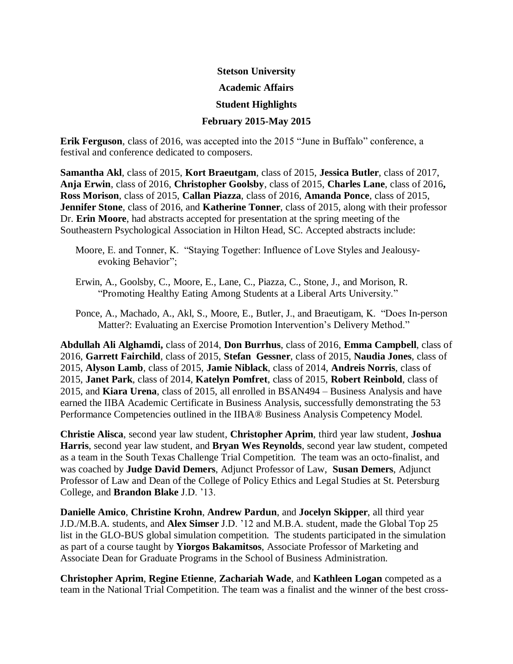# **Stetson University Academic Affairs Student Highlights February 2015-May 2015**

**Erik Ferguson**, class of 2016, was accepted into the 2015 "June in Buffalo" conference, a festival and conference dedicated to composers.

**Samantha Akl**, class of 2015, **Kort Braeutgam**, class of 2015, **Jessica Butler**, class of 2017, **Anja Erwin**, class of 2016, **Christopher Goolsby**, class of 2015, **Charles Lane**, class of 2016**, Ross Morison**, class of 2015, **Callan Piazza**, class of 2016, **Amanda Ponce**, class of 2015, **Jennifer Stone**, class of 2016, and **Katherine Tonner**, class of 2015, along with their professor Dr. **Erin Moore**, had abstracts accepted for presentation at the spring meeting of the Southeastern Psychological Association in Hilton Head, SC. Accepted abstracts include:

- Moore, E. and Tonner, K. "Staying Together: Influence of Love Styles and Jealousyevoking Behavior";
- Erwin, A., Goolsby, C., Moore, E., Lane, C., Piazza, C., Stone, J., and Morison, R. "Promoting Healthy Eating Among Students at a Liberal Arts University."

Ponce, A., Machado, A., Akl, S., Moore, E., Butler, J., and Braeutigam, K. "Does In-person Matter?: Evaluating an Exercise Promotion Intervention's Delivery Method."

**Abdullah Ali Alghamdi,** class of 2014, **Don Burrhus**, class of 2016, **Emma Campbell**, class of 2016, **Garrett Fairchild**, class of 2015, **Stefan Gessner**, class of 2015, **Naudia Jones**, class of 2015, **Alyson Lamb**, class of 2015, **Jamie Niblack**, class of 2014, **Andreis Norris**, class of 2015, **Janet Park**, class of 2014, **Katelyn Pomfret**, class of 2015, **Robert Reinbold**, class of 2015, and **Kiara Urena**, class of 2015, all enrolled in BSAN494 – Business Analysis and have earned the IIBA Academic Certificate in Business Analysis, successfully demonstrating the 53 Performance Competencies outlined in the IIBA® Business Analysis Competency Model.

**Christie Alisca**, second year law student, **Christopher Aprim**, third year law student, **Joshua Harris**, second year law student, and **Bryan Wes Reynolds**, second year law student, competed as a team in the South Texas Challenge Trial Competition. The team was an octo-finalist, and was coached by **Judge David Demers**, Adjunct Professor of Law, **Susan Demers**, Adjunct Professor of Law and Dean of the College of Policy Ethics and Legal Studies at St. Petersburg College, and **Brandon Blake** J.D. '13.

**Danielle Amico**, **Christine Krohn**, **Andrew Pardun**, and **Jocelyn Skipper**, all third year J.D./M.B.A. students, and **Alex Simser** J.D. '12 and M.B.A. student, made the Global Top 25 list in the GLO-BUS global simulation competition. The students participated in the simulation as part of a course taught by **Yiorgos Bakamitsos**, Associate Professor of Marketing and Associate Dean for Graduate Programs in the School of Business Administration.

**Christopher Aprim**, **Regine Etienne**, **Zachariah Wade**, and **Kathleen Logan** competed as a team in the National Trial Competition. The team was a finalist and the winner of the best cross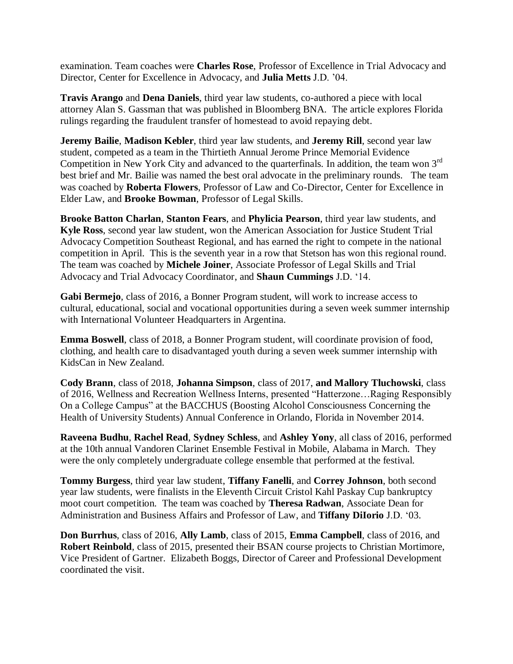examination. Team coaches were **Charles Rose**, Professor of Excellence in Trial Advocacy and Director, Center for Excellence in Advocacy, and **Julia Metts** J.D. '04.

**Travis Arango** and **Dena Daniels**, third year law students, co-authored a piece with local attorney Alan S. Gassman that was published in Bloomberg BNA. The article explores Florida rulings regarding the fraudulent transfer of homestead to avoid repaying debt.

**Jeremy Bailie**, **Madison Kebler**, third year law students, and **Jeremy Rill**, second year law student, competed as a team in the Thirtieth Annual Jerome Prince Memorial Evidence Competition in New York City and advanced to the quarterfinals. In addition, the team won  $3<sup>rd</sup>$ best brief and Mr. Bailie was named the best oral advocate in the preliminary rounds. The team was coached by **Roberta Flowers**, Professor of Law and Co-Director, Center for Excellence in Elder Law, and **Brooke Bowman**, Professor of Legal Skills.

**Brooke Batton Charlan**, **Stanton Fears**, and **Phylicia Pearson**, third year law students, and **Kyle Ross**, second year law student, won the American Association for Justice Student Trial Advocacy Competition Southeast Regional, and has earned the right to compete in the national competition in April. This is the seventh year in a row that Stetson has won this regional round. The team was coached by **Michele Joiner**, Associate Professor of Legal Skills and Trial Advocacy and Trial Advocacy Coordinator, and **Shaun Cummings** J.D. '14.

**Gabi Bermejo**, class of 2016, a Bonner Program student, will work to increase access to cultural, educational, social and vocational opportunities during a seven week summer internship with International Volunteer Headquarters in Argentina.

**Emma Boswell**, class of 2018, a Bonner Program student, will coordinate provision of food, clothing, and health care to disadvantaged youth during a seven week summer internship with KidsCan in New Zealand.

**Cody Brann**, class of 2018, **Johanna Simpson**, class of 2017, **and Mallory Tluchowski**, class of 2016, Wellness and Recreation Wellness Interns, presented "Hatterzone…Raging Responsibly On a College Campus" at the BACCHUS (Boosting Alcohol Consciousness Concerning the Health of University Students) Annual Conference in Orlando, Florida in November 2014.

**Raveena Budhu**, **Rachel Read**, **Sydney Schless**, and **Ashley Yony**, all class of 2016, performed at the 10th annual Vandoren Clarinet Ensemble Festival in Mobile, Alabama in March. They were the only completely undergraduate college ensemble that performed at the festival.

**Tommy Burgess**, third year law student, **Tiffany Fanelli**, and **Correy Johnson**, both second year law students, were finalists in the Eleventh Circuit Cristol Kahl Paskay Cup bankruptcy moot court competition. The team was coached by **Theresa Radwan**, Associate Dean for Administration and Business Affairs and Professor of Law, and **Tiffany DiIorio** J.D. '03.

**Don Burrhus**, class of 2016, **Ally Lamb**, class of 2015, **Emma Campbell**, class of 2016, and **Robert Reinbold**, class of 2015, presented their BSAN course projects to Christian Mortimore, Vice President of Gartner. Elizabeth Boggs, Director of Career and Professional Development coordinated the visit.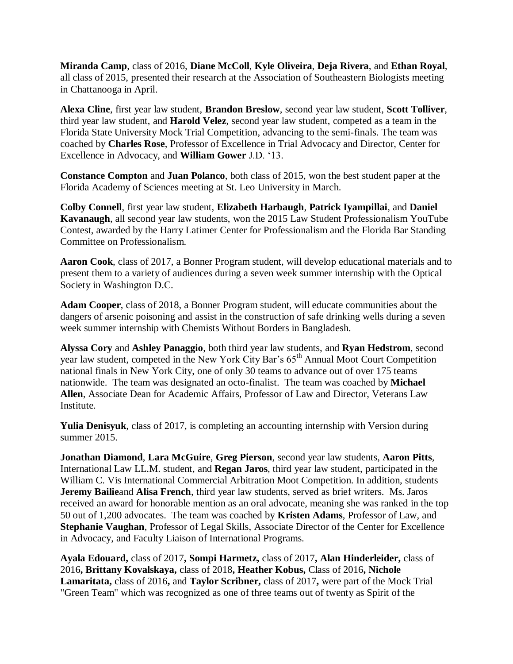**Miranda Camp**, class of 2016, **Diane McColl**, **Kyle Oliveira**, **Deja Rivera**, and **Ethan Royal**, all class of 2015, presented their research at the Association of Southeastern Biologists meeting in Chattanooga in April.

**Alexa Cline**, first year law student, **Brandon Breslow**, second year law student, **Scott Tolliver**, third year law student, and **Harold Velez**, second year law student, competed as a team in the Florida State University Mock Trial Competition, advancing to the semi-finals. The team was coached by **Charles Rose**, Professor of Excellence in Trial Advocacy and Director, Center for Excellence in Advocacy, and **William Gower** J.D. '13.

**Constance Compton** and **Juan Polanco**, both class of 2015, won the best student paper at the Florida Academy of Sciences meeting at St. Leo University in March.

**Colby Connell**, first year law student, **Elizabeth Harbaugh**, **Patrick Iyampillai**, and **Daniel Kavanaugh**, all second year law students, won the 2015 Law Student Professionalism YouTube Contest, awarded by the Harry Latimer Center for Professionalism and the Florida Bar Standing Committee on Professionalism.

**Aaron Cook**, class of 2017, a Bonner Program student, will develop educational materials and to present them to a variety of audiences during a seven week summer internship with the Optical Society in Washington D.C.

**Adam Cooper**, class of 2018, a Bonner Program student, will educate communities about the dangers of arsenic poisoning and assist in the construction of safe drinking wells during a seven week summer internship with Chemists Without Borders in Bangladesh.

**Alyssa Cory** and **Ashley Panaggio**, both third year law students, and **Ryan Hedstrom**, second year law student, competed in the New York City Bar's 65<sup>th</sup> Annual Moot Court Competition national finals in New York City, one of only 30 teams to advance out of over 175 teams nationwide. The team was designated an octo-finalist. The team was coached by **Michael Allen**, Associate Dean for Academic Affairs, Professor of Law and Director, Veterans Law **Institute** 

**Yulia Denisyuk**, class of 2017, is completing an accounting internship with Version during summer 2015.

**Jonathan Diamond**, **Lara McGuire**, **Greg Pierson**, second year law students, **Aaron Pitts**, International Law LL.M. student, and **Regan Jaros**, third year law student, participated in the William C. Vis International Commercial Arbitration Moot Competition. In addition, students **Jeremy Bailie**and **Alisa French**, third year law students, served as brief writers. Ms. Jaros received an award for honorable mention as an oral advocate, meaning she was ranked in the top 50 out of 1,200 advocates. The team was coached by **Kristen Adams**, Professor of Law, and **Stephanie Vaughan**, Professor of Legal Skills, Associate Director of the Center for Excellence in Advocacy, and Faculty Liaison of International Programs.

**Ayala Edouard,** class of 2017**, Sompi Harmetz,** class of 2017**, Alan Hinderleider,** class of 2016**, Brittany Kovalskaya,** class of 2018**, Heather Kobus,** Class of 2016**, Nichole Lamaritata,** class of 2016**,** and **Taylor Scribner,** class of 2017**,** were part of the Mock Trial "Green Team" which was recognized as one of three teams out of twenty as Spirit of the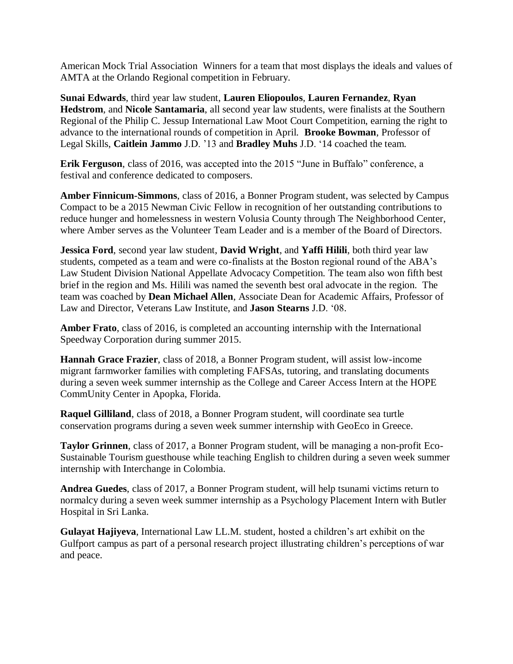American Mock Trial Association Winners for a team that most displays the ideals and values of AMTA at the Orlando Regional competition in February.

**Sunai Edwards**, third year law student, **Lauren Eliopoulos**, **Lauren Fernandez**, **Ryan Hedstrom**, and **Nicole Santamaria**, all second year law students, were finalists at the Southern Regional of the Philip C. Jessup International Law Moot Court Competition, earning the right to advance to the international rounds of competition in April. **Brooke Bowman**, Professor of Legal Skills, **Caitlein Jammo** J.D. '13 and **Bradley Muhs** J.D. '14 coached the team.

**Erik Ferguson**, class of 2016, was accepted into the 2015 "June in Buffalo" conference, a festival and conference dedicated to composers.

**Amber Finnicum-Simmons**, class of 2016, a Bonner Program student, was selected by Campus Compact to be a 2015 Newman Civic Fellow in recognition of her outstanding contributions to reduce hunger and homelessness in western Volusia County through The Neighborhood Center, where Amber serves as the Volunteer Team Leader and is a member of the Board of Directors.

**Jessica Ford**, second year law student, **David Wright**, and **Yaffi Hilili**, both third year law students, competed as a team and were co-finalists at the Boston regional round of the ABA's Law Student Division National Appellate Advocacy Competition. The team also won fifth best brief in the region and Ms. Hilili was named the seventh best oral advocate in the region. The team was coached by **Dean Michael Allen**, Associate Dean for Academic Affairs, Professor of Law and Director, Veterans Law Institute, and **Jason Stearns** J.D. '08.

**Amber Frato**, class of 2016, is completed an accounting internship with the International Speedway Corporation during summer 2015.

**Hannah Grace Frazier**, class of 2018, a Bonner Program student, will assist low-income migrant farmworker families with completing FAFSAs, tutoring, and translating documents during a seven week summer internship as the College and Career Access Intern at the HOPE CommUnity Center in Apopka, Florida.

**Raquel Gilliland**, class of 2018, a Bonner Program student, will coordinate sea turtle conservation programs during a seven week summer internship with GeoEco in Greece.

**Taylor Grinnen**, class of 2017, a Bonner Program student, will be managing a non-profit Eco-Sustainable Tourism guesthouse while teaching English to children during a seven week summer internship with Interchange in Colombia.

**Andrea Guedes**, class of 2017, a Bonner Program student, will help tsunami victims return to normalcy during a seven week summer internship as a Psychology Placement Intern with Butler Hospital in Sri Lanka.

**Gulayat Hajiyeva**, International Law LL.M. student, hosted a children's art exhibit on the Gulfport campus as part of a personal research project illustrating children's perceptions of war and peace.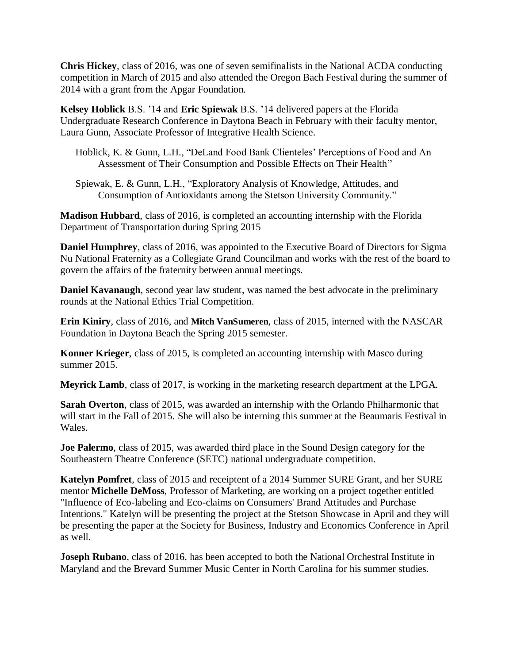**Chris Hickey**, class of 2016, was one of seven semifinalists in the National ACDA conducting competition in March of 2015 and also attended the Oregon Bach Festival during the summer of 2014 with a grant from the Apgar Foundation.

**Kelsey Hoblick** B.S. '14 and **Eric Spiewak** B.S. '14 delivered papers at the Florida Undergraduate Research Conference in Daytona Beach in February with their faculty mentor, Laura Gunn, Associate Professor of Integrative Health Science.

- Hoblick, K. & Gunn, L.H., "DeLand Food Bank Clienteles' Perceptions of Food and An Assessment of Their Consumption and Possible Effects on Their Health"
- Spiewak, E. & Gunn, L.H., "Exploratory Analysis of Knowledge, Attitudes, and Consumption of Antioxidants among the Stetson University Community."

**Madison Hubbard**, class of 2016, is completed an accounting internship with the Florida Department of Transportation during Spring 2015

**Daniel Humphrey**, class of 2016, was appointed to the Executive Board of Directors for Sigma Nu National Fraternity as a Collegiate Grand Councilman and works with the rest of the board to govern the affairs of the fraternity between annual meetings.

**Daniel Kavanaugh**, second year law student, was named the best advocate in the preliminary rounds at the National Ethics Trial Competition.

**Erin Kiniry**, class of 2016, and **Mitch VanSumeren**, class of 2015, interned with the NASCAR Foundation in Daytona Beach the Spring 2015 semester.

**Konner Krieger**, class of 2015, is completed an accounting internship with Masco during summer 2015.

**Meyrick Lamb**, class of 2017, is working in the marketing research department at the LPGA.

**Sarah Overton**, class of 2015, was awarded an internship with the Orlando Philharmonic that will start in the Fall of 2015. She will also be interning this summer at the Beaumaris Festival in Wales.

**Joe Palermo**, class of 2015, was awarded third place in the Sound Design category for the Southeastern Theatre Conference (SETC) national undergraduate competition.

**Katelyn Pomfret**, class of 2015 and receiptent of a 2014 Summer SURE Grant, and her SURE mentor **Michelle DeMoss**, Professor of Marketing, are working on a project together entitled "Influence of Eco-labeling and Eco-claims on Consumers' Brand Attitudes and Purchase Intentions." Katelyn will be presenting the project at the Stetson Showcase in April and they will be presenting the paper at the Society for Business, Industry and Economics Conference in April as well.

**Joseph Rubano**, class of 2016, has been accepted to both the National Orchestral Institute in Maryland and the Brevard Summer Music Center in North Carolina for his summer studies.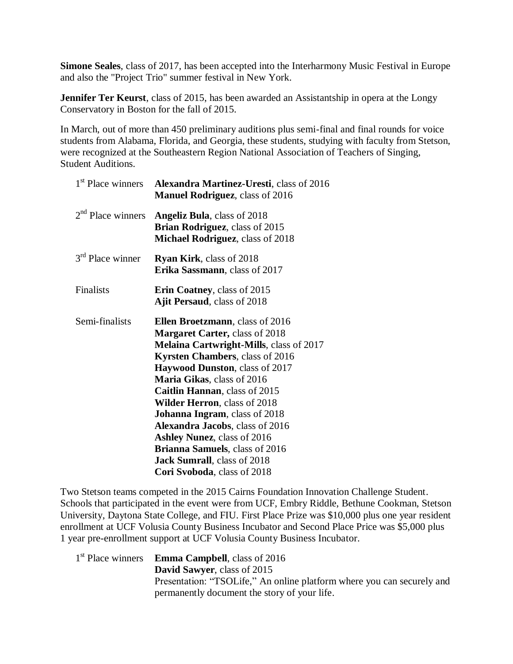**Simone Seales**, class of 2017, has been accepted into the Interharmony Music Festival in Europe and also the "Project Trio" summer festival in New York.

**Jennifer Ter Keurst**, class of 2015, has been awarded an Assistantship in opera at the Longy Conservatory in Boston for the fall of 2015.

In March, out of more than 450 preliminary auditions plus semi-final and final rounds for voice students from Alabama, Florida, and Georgia, these students, studying with faculty from Stetson, were recognized at the Southeastern Region National Association of Teachers of Singing, Student Auditions.

| <b>Alexandra Martinez-Uresti</b> , class of 2016<br><b>Manuel Rodriguez</b> , class of 2016                                                                                                                                                                                                                                                                                                                                                                                                                                                            |
|--------------------------------------------------------------------------------------------------------------------------------------------------------------------------------------------------------------------------------------------------------------------------------------------------------------------------------------------------------------------------------------------------------------------------------------------------------------------------------------------------------------------------------------------------------|
| <b>Angeliz Bula, class of 2018</b><br>Brian Rodriguez, class of 2015<br>Michael Rodriguez, class of 2018                                                                                                                                                                                                                                                                                                                                                                                                                                               |
| Ryan Kirk, class of 2018<br>Erika Sassmann, class of 2017                                                                                                                                                                                                                                                                                                                                                                                                                                                                                              |
| Erin Coatney, class of 2015<br><b>Ajit Persaud, class of 2018</b>                                                                                                                                                                                                                                                                                                                                                                                                                                                                                      |
| <b>Ellen Broetzmann</b> , class of 2016<br><b>Margaret Carter, class of 2018</b><br><b>Melaina Cartwright-Mills, class of 2017</b><br>Kyrsten Chambers, class of 2016<br><b>Haywood Dunston, class of 2017</b><br>Maria Gikas, class of 2016<br><b>Caitlin Hannan</b> , class of 2015<br><b>Wilder Herron</b> , class of 2018<br>Johanna Ingram, class of 2018<br>Alexandra Jacobs, class of 2016<br><b>Ashley Nunez, class of 2016</b><br><b>Brianna Samuels, class of 2016</b><br><b>Jack Sumrall</b> , class of 2018<br>Cori Svoboda, class of 2018 |
|                                                                                                                                                                                                                                                                                                                                                                                                                                                                                                                                                        |

Two Stetson teams competed in the 2015 Cairns Foundation Innovation Challenge Student. Schools that participated in the event were from UCF, Embry Riddle, Bethune Cookman, Stetson University, Daytona State College, and FIU. First Place Prize was \$10,000 plus one year resident enrollment at UCF Volusia County Business Incubator and Second Place Price was \$5,000 plus 1 year pre-enrollment support at UCF Volusia County Business Incubator.

| 1 <sup>st</sup> Place winners <b>Emma Campbell</b> , class of 2016     |
|------------------------------------------------------------------------|
| <b>David Sawyer, class of 2015</b>                                     |
| Presentation: "TSOLife," An online platform where you can securely and |
| permanently document the story of your life.                           |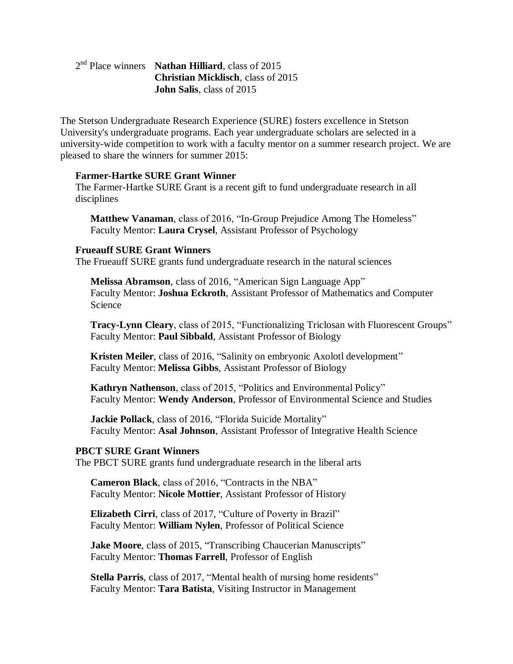## 2 nd Place winners **Nathan Hilliard**, class of 2015 **Christian Micklisch**, class of 2015 **John Salis**, class of 2015

The Stetson Undergraduate Research Experience (SURE) fosters excellence in Stetson University's undergraduate programs. Each year undergraduate scholars are selected in a university-wide competition to work with a faculty mentor on a summer research project. We are pleased to share the winners for summer 2015:

### **Farmer-Hartke SURE Grant Winner**

The Farmer-Hartke SURE Grant is a recent gift to fund undergraduate research in all disciplines

**Matthew Vanaman**, class of 2016, "In-Group Prejudice Among The Homeless" Faculty Mentor: **Laura Crysel**, Assistant Professor of Psychology

#### **Frueauff SURE Grant Winners**

The Frueauff SURE grants fund undergraduate research in the natural sciences

**Melissa Abramson**, class of 2016, "American Sign Language App" Faculty Mentor: **Joshua Eckroth**, Assistant Professor of Mathematics and Computer Science

**Tracy-Lynn Cleary**, class of 2015, "Functionalizing Triclosan with Fluorescent Groups" Faculty Mentor: **Paul Sibbald**, Assistant Professor of Biology

**Kristen Meiler**, class of 2016, "Salinity on embryonic Axolotl development" Faculty Mentor: **Melissa Gibbs**, Assistant Professor of Biology

**Kathryn Nathenson**, class of 2015, "Politics and Environmental Policy" Faculty Mentor: **Wendy Anderson**, Professor of Environmental Science and Studies

**Jackie Pollack**, class of 2016, "Florida Suicide Mortality" Faculty Mentor: **Asal Johnson**, Assistant Professor of Integrative Health Science

#### **PBCT SURE Grant Winners**

The PBCT SURE grants fund undergraduate research in the liberal arts

**Cameron Black**, class of 2016, "Contracts in the NBA" Faculty Mentor: **Nicole Mottier**, Assistant Professor of History

**Elizabeth Cirri**, class of 2017, "Culture of Poverty in Brazil" Faculty Mentor: **William Nylen**, Professor of Political Science

**Jake Moore, class of 2015, "Transcribing Chaucerian Manuscripts"** Faculty Mentor: **Thomas Farrell**, Professor of English

**Stella Parris**, class of 2017, "Mental health of nursing home residents" Faculty Mentor: **Tara Batista**, Visiting Instructor in Management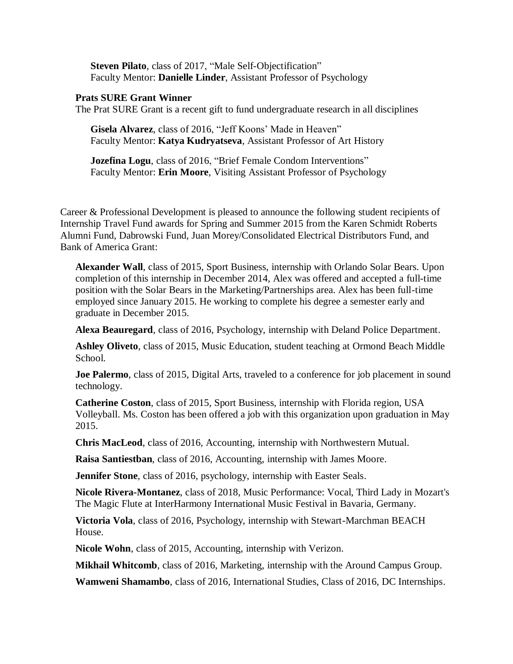**Steven Pilato**, class of 2017, "Male Self-Objectification" Faculty Mentor: **Danielle Linder**, Assistant Professor of Psychology

#### **Prats SURE Grant Winner**

The Prat SURE Grant is a recent gift to fund undergraduate research in all disciplines

**Gisela Alvarez**, class of 2016, "Jeff Koons' Made in Heaven" Faculty Mentor: **Katya Kudryatseva**, Assistant Professor of Art History

**Jozefina Logu**, class of 2016, "Brief Female Condom Interventions" Faculty Mentor: **Erin Moore**, Visiting Assistant Professor of Psychology

Career & Professional Development is pleased to announce the following student recipients of Internship Travel Fund awards for Spring and Summer 2015 from the Karen Schmidt Roberts Alumni Fund, Dabrowski Fund, Juan Morey/Consolidated Electrical Distributors Fund, and Bank of America Grant:

**Alexander Wall**, class of 2015, Sport Business, internship with Orlando Solar Bears. Upon completion of this internship in December 2014, Alex was offered and accepted a full-time position with the Solar Bears in the Marketing/Partnerships area. Alex has been full-time employed since January 2015. He working to complete his degree a semester early and graduate in December 2015.

**Alexa Beauregard**, class of 2016, Psychology, internship with Deland Police Department.

**Ashley Oliveto**, class of 2015, Music Education, student teaching at Ormond Beach Middle School.

**Joe Palermo**, class of 2015, Digital Arts, traveled to a conference for job placement in sound technology.

**Catherine Coston**, class of 2015, Sport Business, internship with Florida region, USA Volleyball. Ms. Coston has been offered a job with this organization upon graduation in May 2015.

**Chris MacLeod**, class of 2016, Accounting, internship with Northwestern Mutual.

**Raisa Santiestban**, class of 2016, Accounting, internship with James Moore.

**Jennifer Stone**, class of 2016, psychology, internship with Easter Seals.

**Nicole Rivera-Montanez**, class of 2018, Music Performance: Vocal, Third Lady in Mozart's The Magic Flute at InterHarmony International Music Festival in Bavaria, Germany.

**Victoria Vola**, class of 2016, Psychology, internship with Stewart-Marchman BEACH House.

**Nicole Wohn**, class of 2015, Accounting, internship with Verizon.

**Mikhail Whitcomb**, class of 2016, Marketing, internship with the Around Campus Group.

**Wamweni Shamambo**, class of 2016, International Studies, Class of 2016, DC Internships.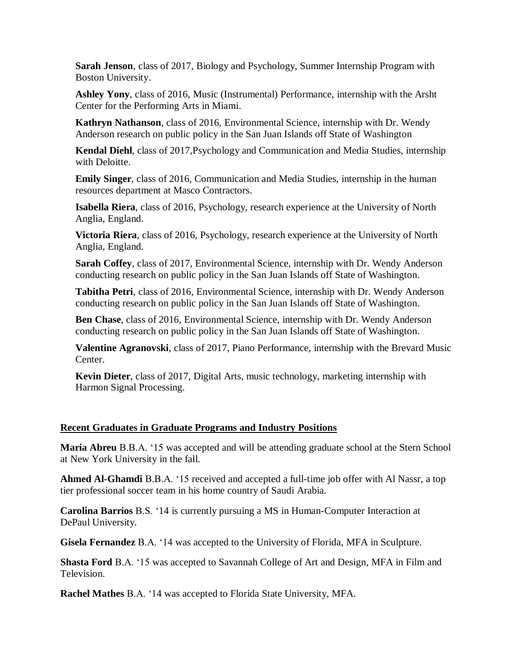**Sarah Jenson**, class of 2017, Biology and Psychology, Summer Internship Program with Boston University.

**Ashley Yony**, class of 2016, Music (Instrumental) Performance, internship with the Arsht Center for the Performing Arts in Miami.

**Kathryn Nathanson**, class of 2016, Environmental Science, internship with Dr. Wendy Anderson research on public policy in the San Juan Islands off State of Washington

**Kendal Diehl**, class of 2017,Psychology and Communication and Media Studies, internship with Deloitte.

**Emily Singer**, class of 2016, Communication and Media Studies, internship in the human resources department at Masco Contractors.

**Isabella Riera**, class of 2016, Psychology, research experience at the University of North Anglia, England.

**Victoria Riera**, class of 2016, Psychology, research experience at the University of North Anglia, England.

**Sarah Coffey**, class of 2017, Environmental Science, internship with Dr. Wendy Anderson conducting research on public policy in the San Juan Islands off State of Washington.

**Tabitha Petri**, class of 2016, Environmental Science, internship with Dr. Wendy Anderson conducting research on public policy in the San Juan Islands off State of Washington.

**Ben Chase**, class of 2016, Environmental Science, internship with Dr. Wendy Anderson conducting research on public policy in the San Juan Islands off State of Washington.

**Valentine Agranovski**, class of 2017, Piano Performance, internship with the Brevard Music Center.

**Kevin Dieter**, class of 2017, Digital Arts, music technology, marketing internship with Harmon Signal Processing.

## **Recent Graduates in Graduate Programs and Industry Positions**

**Maria Abreu** B.B.A. '15 was accepted and will be attending graduate school at the Stern School at New York University in the fall.

**Ahmed Al-Ghamdi** B.B.A. '15 received and accepted a full-time job offer with Al Nassr, a top tier professional soccer team in his home country of Saudi Arabia.

**Carolina Barrios** B.S. '14 is currently pursuing a MS in Human-Computer Interaction at DePaul University.

**Gisela Fernandez** B.A. '14 was accepted to the University of Florida, MFA in Sculpture.

**Shasta Ford** B.A. '15 was accepted to Savannah College of Art and Design, MFA in Film and Television.

**Rachel Mathes** B.A. '14 was accepted to Florida State University, MFA.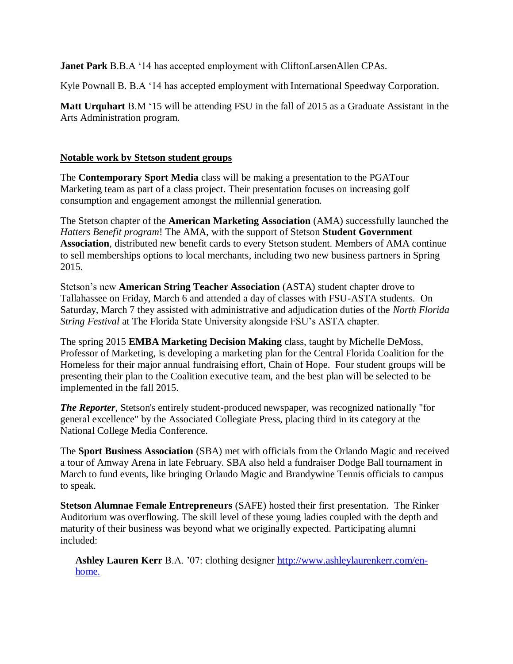**Janet Park** B.B.A '14 has accepted employment with CliftonLarsenAllen CPAs.

Kyle Pownall B. B.A '14 has accepted employment with International Speedway Corporation.

**Matt Urquhart** B.M '15 will be attending FSU in the fall of 2015 as a Graduate Assistant in the Arts Administration program.

## **Notable work by Stetson student groups**

The **Contemporary Sport Media** class will be making a presentation to the PGATour Marketing team as part of a class project. Their presentation focuses on increasing golf consumption and engagement amongst the millennial generation.

The Stetson chapter of the **American Marketing Association** (AMA) successfully launched the *Hatters Benefit program*! The AMA, with the support of Stetson **Student Government Association**, distributed new benefit cards to every Stetson student. Members of AMA continue to sell memberships options to local merchants, including two new business partners in Spring 2015.

Stetson's new **American String Teacher Association** (ASTA) student chapter drove to Tallahassee on Friday, March 6 and attended a day of classes with FSU-ASTA students. On Saturday, March 7 they assisted with administrative and adjudication duties of the *North Florida String Festival* at The Florida State University alongside FSU's ASTA chapter.

The spring 2015 **EMBA Marketing Decision Making** class, taught by Michelle DeMoss, Professor of Marketing, is developing a marketing plan for the Central Florida Coalition for the Homeless for their major annual fundraising effort, Chain of Hope. Four student groups will be presenting their plan to the Coalition executive team, and the best plan will be selected to be implemented in the fall 2015.

*The Reporter*, Stetson's entirely student-produced newspaper, was recognized nationally "for general excellence" by the Associated Collegiate Press, placing third in its category at the National College Media Conference.

The **Sport Business Association** (SBA) met with officials from the Orlando Magic and received a tour of Amway Arena in late February. SBA also held a fundraiser Dodge Ball tournament in March to fund events, like bringing Orlando Magic and Brandywine Tennis officials to campus to speak.

**Stetson Alumnae Female Entrepreneurs** (SAFE) hosted their first presentation. The Rinker Auditorium was overflowing. The skill level of these young ladies coupled with the depth and maturity of their business was beyond what we originally expected. Participating alumni included:

**Ashley Lauren Kerr** B.A. '07: clothing designer [http://www.ashleylaurenkerr.com/en](http://www.ashleylaurenkerr.com/en-home)[home.](http://www.ashleylaurenkerr.com/en-home)